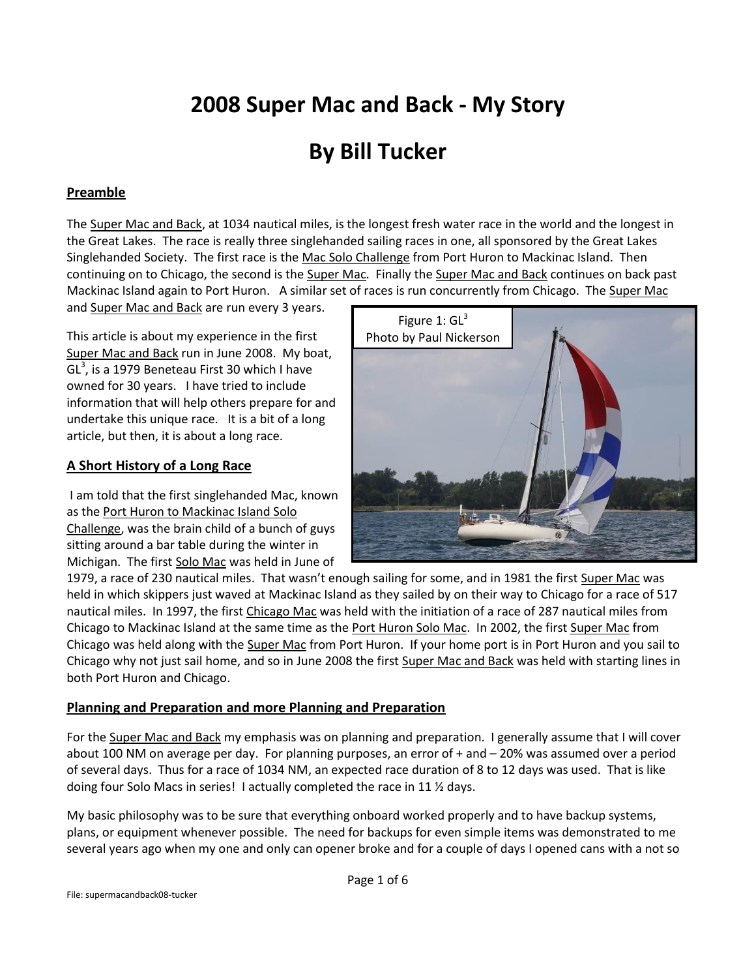# **2008 Super Mac and Back - My Story**

## **By Bill Tucker**

## **Preamble**

The Super Mac and Back, at 1034 nautical miles, is the longest fresh water race in the world and the longest in the Great Lakes. The race is really three singlehanded sailing races in one, all sponsored by the Great Lakes Singlehanded Society. The first race is the Mac Solo Challenge from Port Huron to Mackinac Island. Then continuing on to Chicago, the second is the Super Mac. Finally the Super Mac and Back continues on back past Mackinac Island again to Port Huron. A similar set of races is run concurrently from Chicago. The Super Mac

and Super Mac and Back are run every 3 years.

This article is about my experience in the first Super Mac and Back run in June 2008. My boat, GL<sup>3</sup>, is a 1979 Beneteau First 30 which I have owned for 30 years. I have tried to include information that will help others prepare for and undertake this unique race. It is a bit of a long article, but then, it is about a long race.

## **A Short History of a Long Race**

I am told that the first singlehanded Mac, known as the Port Huron to Mackinac Island Solo Challenge, was the brain child of a bunch of guys sitting around a bar table during the winter in Michigan. The first Solo Mac was held in June of



1979, a race of 230 nautical miles. That wasn't enough sailing for some, and in 1981 the first Super Mac was held in which skippers just waved at Mackinac Island as they sailed by on their way to Chicago for a race of 517 nautical miles. In 1997, the first Chicago Mac was held with the initiation of a race of 287 nautical miles from Chicago to Mackinac Island at the same time as the Port Huron Solo Mac. In 2002, the first Super Mac from Chicago was held along with the Super Mac from Port Huron. If your home port is in Port Huron and you sail to Chicago why not just sail home, and so in June 2008 the first Super Mac and Back was held with starting lines in both Port Huron and Chicago.

#### **Planning and Preparation and more Planning and Preparation**

For the Super Mac and Back my emphasis was on planning and preparation. I generally assume that I will cover about 100 NM on average per day. For planning purposes, an error of + and – 20% was assumed over a period of several days. Thus for a race of 1034 NM, an expected race duration of 8 to 12 days was used. That is like doing four Solo Macs in series! I actually completed the race in 11 ½ days.

My basic philosophy was to be sure that everything onboard worked properly and to have backup systems, plans, or equipment whenever possible. The need for backups for even simple items was demonstrated to me several years ago when my one and only can opener broke and for a couple of days I opened cans with a not so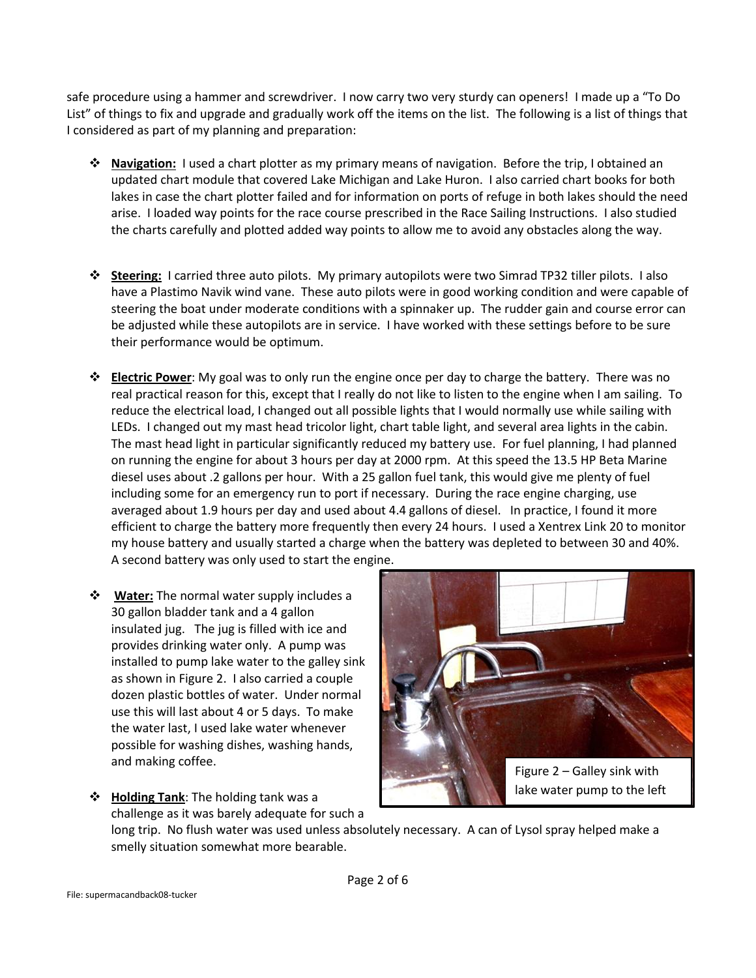safe procedure using a hammer and screwdriver. I now carry two very sturdy can openers! I made up a "To Do List" of things to fix and upgrade and gradually work off the items on the list. The following is a list of things that I considered as part of my planning and preparation:

- **Navigation:** I used a chart plotter as my primary means of navigation. Before the trip, I obtained an updated chart module that covered Lake Michigan and Lake Huron. I also carried chart books for both lakes in case the chart plotter failed and for information on ports of refuge in both lakes should the need arise. I loaded way points for the race course prescribed in the Race Sailing Instructions. I also studied the charts carefully and plotted added way points to allow me to avoid any obstacles along the way.
- **Steering:** I carried three auto pilots. My primary autopilots were two Simrad TP32 tiller pilots. I also have a Plastimo Navik wind vane. These auto pilots were in good working condition and were capable of steering the boat under moderate conditions with a spinnaker up. The rudder gain and course error can be adjusted while these autopilots are in service. I have worked with these settings before to be sure their performance would be optimum.
- **Electric Power**: My goal was to only run the engine once per day to charge the battery. There was no real practical reason for this, except that I really do not like to listen to the engine when I am sailing. To reduce the electrical load, I changed out all possible lights that I would normally use while sailing with LEDs. I changed out my mast head tricolor light, chart table light, and several area lights in the cabin. The mast head light in particular significantly reduced my battery use. For fuel planning, I had planned on running the engine for about 3 hours per day at 2000 rpm. At this speed the 13.5 HP Beta Marine diesel uses about .2 gallons per hour. With a 25 gallon fuel tank, this would give me plenty of fuel including some for an emergency run to port if necessary. During the race engine charging, use averaged about 1.9 hours per day and used about 4.4 gallons of diesel. In practice, I found it more efficient to charge the battery more frequently then every 24 hours. I used a Xentrex Link 20 to monitor my house battery and usually started a charge when the battery was depleted to between 30 and 40%. A second battery was only used to start the engine.
- **Water:** The normal water supply includes a 30 gallon bladder tank and a 4 gallon insulated jug. The jug is filled with ice and provides drinking water only. A pump was installed to pump lake water to the galley sink as shown in Figure 2. I also carried a couple dozen plastic bottles of water. Under normal use this will last about 4 or 5 days. To make the water last, I used lake water whenever possible for washing dishes, washing hands, and making coffee.



 **Holding Tank**: The holding tank was a challenge as it was barely adequate for such a

long trip. No flush water was used unless absolutely necessary. A can of Lysol spray helped make a smelly situation somewhat more bearable.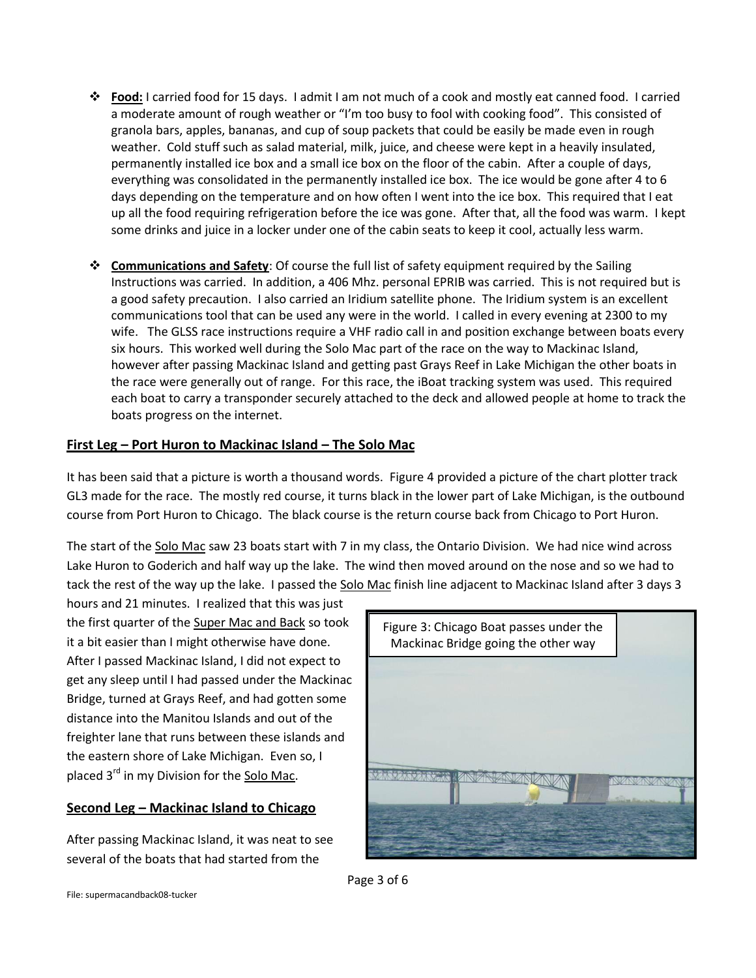- **Food:** I carried food for 15 days. I admit I am not much of a cook and mostly eat canned food. I carried a moderate amount of rough weather or "I'm too busy to fool with cooking food". This consisted of granola bars, apples, bananas, and cup of soup packets that could be easily be made even in rough weather. Cold stuff such as salad material, milk, juice, and cheese were kept in a heavily insulated, permanently installed ice box and a small ice box on the floor of the cabin. After a couple of days, everything was consolidated in the permanently installed ice box. The ice would be gone after 4 to 6 days depending on the temperature and on how often I went into the ice box. This required that I eat up all the food requiring refrigeration before the ice was gone. After that, all the food was warm. I kept some drinks and juice in a locker under one of the cabin seats to keep it cool, actually less warm.
- **Communications and Safety**: Of course the full list of safety equipment required by the Sailing Instructions was carried. In addition, a 406 Mhz. personal EPRIB was carried. This is not required but is a good safety precaution. I also carried an Iridium satellite phone. The Iridium system is an excellent communications tool that can be used any were in the world. I called in every evening at 2300 to my wife. The GLSS race instructions require a VHF radio call in and position exchange between boats every six hours. This worked well during the Solo Mac part of the race on the way to Mackinac Island, however after passing Mackinac Island and getting past Grays Reef in Lake Michigan the other boats in the race were generally out of range. For this race, the iBoat tracking system was used. This required each boat to carry a transponder securely attached to the deck and allowed people at home to track the boats progress on the internet.

#### **First Leg – Port Huron to Mackinac Island – The Solo Mac**

It has been said that a picture is worth a thousand words. Figure 4 provided a picture of the chart plotter track GL3 made for the race. The mostly red course, it turns black in the lower part of Lake Michigan, is the outbound course from Port Huron to Chicago. The black course is the return course back from Chicago to Port Huron.

The start of the Solo Mac saw 23 boats start with 7 in my class, the Ontario Division. We had nice wind across Lake Huron to Goderich and half way up the lake. The wind then moved around on the nose and so we had to tack the rest of the way up the lake. I passed the Solo Mac finish line adjacent to Mackinac Island after 3 days 3

hours and 21 minutes. I realized that this was just the first quarter of the Super Mac and Back so took it a bit easier than I might otherwise have done. After I passed Mackinac Island, I did not expect to get any sleep until I had passed under the Mackinac Bridge, turned at Grays Reef, and had gotten some distance into the Manitou Islands and out of the freighter lane that runs between these islands and the eastern shore of Lake Michigan. Even so, I placed 3<sup>rd</sup> in my Division for the Solo Mac.

#### **Second Leg – Mackinac Island to Chicago**

After passing Mackinac Island, it was neat to see several of the boats that had started from the



Page 3 of 6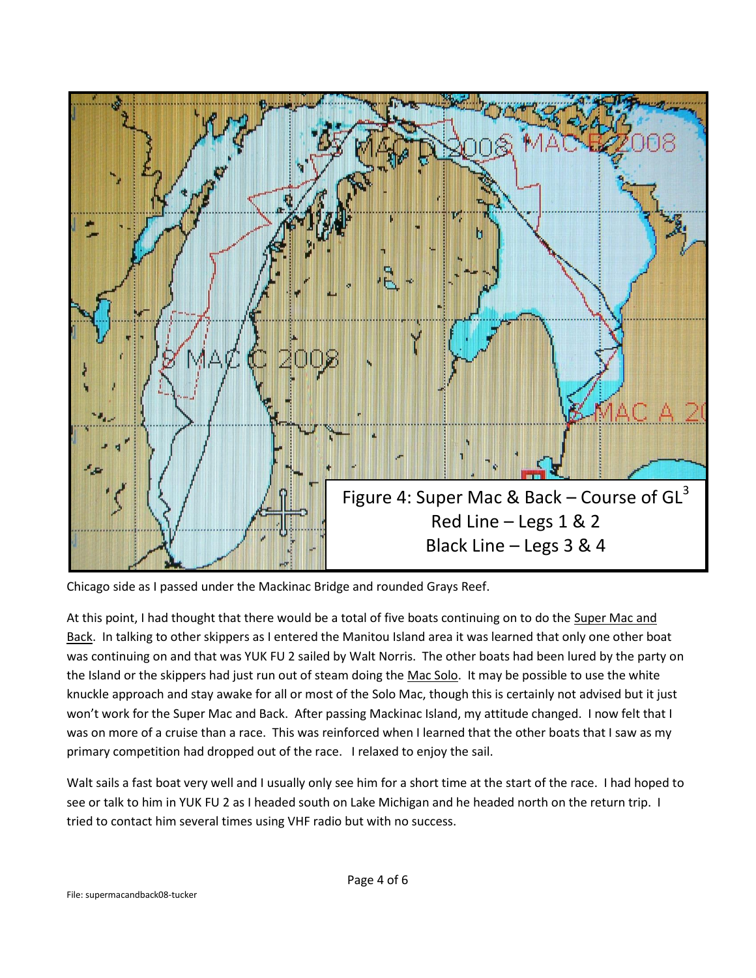

Chicago side as I passed under the Mackinac Bridge and rounded Grays Reef.

At this point, I had thought that there would be a total of five boats continuing on to do the Super Mac and Back. In talking to other skippers as I entered the Manitou Island area it was learned that only one other boat was continuing on and that was YUK FU 2 sailed by Walt Norris. The other boats had been lured by the party on the Island or the skippers had just run out of steam doing the Mac Solo. It may be possible to use the white knuckle approach and stay awake for all or most of the Solo Mac, though this is certainly not advised but it just won't work for the Super Mac and Back. After passing Mackinac Island, my attitude changed. I now felt that I was on more of a cruise than a race. This was reinforced when I learned that the other boats that I saw as my primary competition had dropped out of the race. I relaxed to enjoy the sail.

Walt sails a fast boat very well and I usually only see him for a short time at the start of the race. I had hoped to see or talk to him in YUK FU 2 as I headed south on Lake Michigan and he headed north on the return trip. I tried to contact him several times using VHF radio but with no success.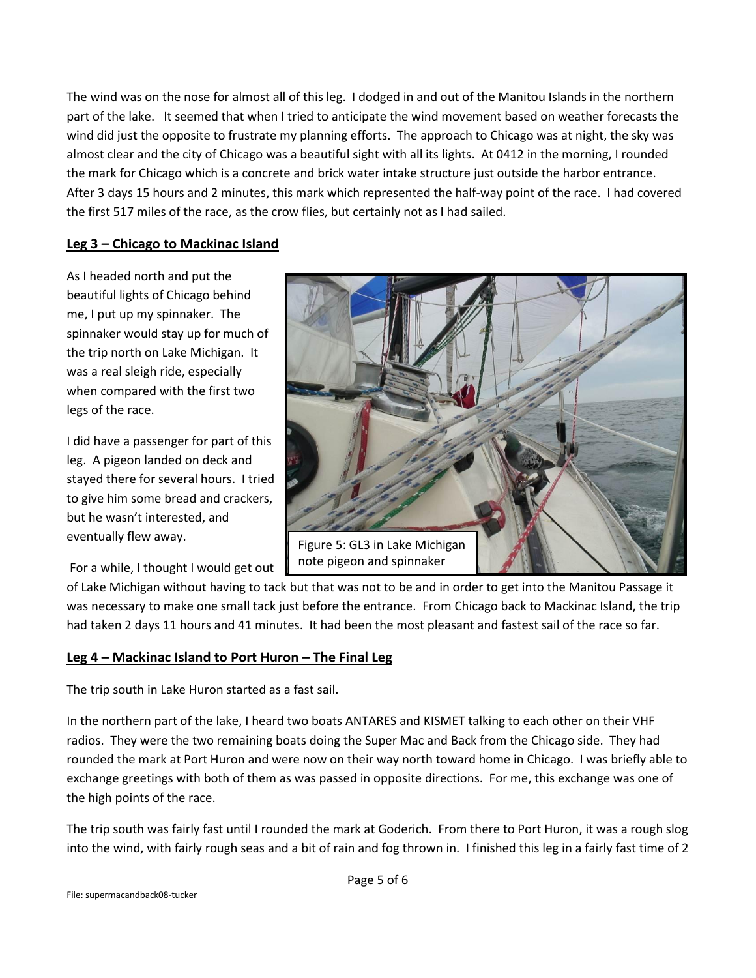The wind was on the nose for almost all of this leg. I dodged in and out of the Manitou Islands in the northern part of the lake. It seemed that when I tried to anticipate the wind movement based on weather forecasts the wind did just the opposite to frustrate my planning efforts. The approach to Chicago was at night, the sky was almost clear and the city of Chicago was a beautiful sight with all its lights. At 0412 in the morning, I rounded the mark for Chicago which is a concrete and brick water intake structure just outside the harbor entrance. After 3 days 15 hours and 2 minutes, this mark which represented the half-way point of the race. I had covered the first 517 miles of the race, as the crow flies, but certainly not as I had sailed.

#### **Leg 3 – Chicago to Mackinac Island**

As I headed north and put the beautiful lights of Chicago behind me, I put up my spinnaker. The spinnaker would stay up for much of the trip north on Lake Michigan. It was a real sleigh ride, especially when compared with the first two legs of the race.

I did have a passenger for part of this leg. A pigeon landed on deck and stayed there for several hours. I tried to give him some bread and crackers, but he wasn't interested, and eventually flew away.

For a while, I thought I would get out



of Lake Michigan without having to tack but that was not to be and in order to get into the Manitou Passage it was necessary to make one small tack just before the entrance. From Chicago back to Mackinac Island, the trip had taken 2 days 11 hours and 41 minutes. It had been the most pleasant and fastest sail of the race so far.

## **Leg 4 – Mackinac Island to Port Huron – The Final Leg**

The trip south in Lake Huron started as a fast sail.

In the northern part of the lake, I heard two boats ANTARES and KISMET talking to each other on their VHF radios. They were the two remaining boats doing the Super Mac and Back from the Chicago side. They had rounded the mark at Port Huron and were now on their way north toward home in Chicago. I was briefly able to exchange greetings with both of them as was passed in opposite directions. For me, this exchange was one of the high points of the race.

The trip south was fairly fast until I rounded the mark at Goderich. From there to Port Huron, it was a rough slog into the wind, with fairly rough seas and a bit of rain and fog thrown in. I finished this leg in a fairly fast time of 2